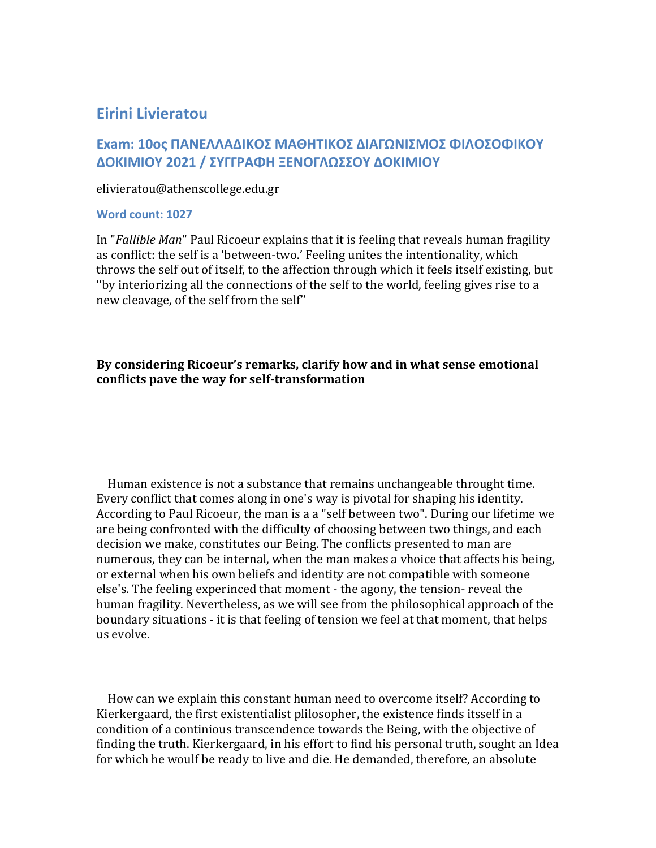# **Eirini Livieratou**

## **Exam: 10ος ΠΑΝΕΛΛΑΔΙΚΟΣ ΜΑΘΗΤΙΚΟΣ ΔΙΑΓΩΝΙΣΜΟΣ ΦΙΛΟΣΟΦΙΚΟΥ ΔΟΚΙΜΙΟΥ 2021 / ΣΥΓΓΡΑΦΗ ΞΕΝΟΓΛΩΣΣΟΥ ΔΟΚΙΜΙΟΥ**

#### elivieratou@athenscollege.edu.gr

#### **Word count: 1027**

In "*Fallible Man*" Paul Ricoeur explains that it is feeling that reveals human fragility as conflict: the self is a 'between-two.' Feeling unites the intentionality, which throws the self out of itself, to the affection through which it feels itself existing, but ''by interiorizing all the connections of the self to the world, feeling gives rise to a new cleavage, of the self from the self''

### **By considering Ricoeur's remarks, clarify how and in what sense emotional conflicts pave the way for self-transformation**

Human existence is not a substance that remains unchangeable throught time. Every conflict that comes along in one's way is pivotal for shaping his identity. According to Paul Ricoeur, the man is a a "self between two". During our lifetime we are being confronted with the difficulty of choosing between two things, and each decision we make, constitutes our Being. The conflicts presented to man are numerous, they can be internal, when the man makes a vhoice that affects his being, or external when his own beliefs and identity are not compatible with someone else's. The feeling experinced that moment - the agony, the tension- reveal the human fragility. Nevertheless, as we will see from the philosophical approach of the boundary situations - it is that feeling of tension we feel at that moment, that helps us evolve.

How can we explain this constant human need to overcome itself? According to Kierkergaard, the first existentialist plilosopher, the existence finds itsself in a condition of a continious transcendence towards the Being, with the objective of finding the truth. Kierkergaard, in his effort to find his personal truth, sought an Idea for which he woulf be ready to live and die. He demanded, therefore, an absolute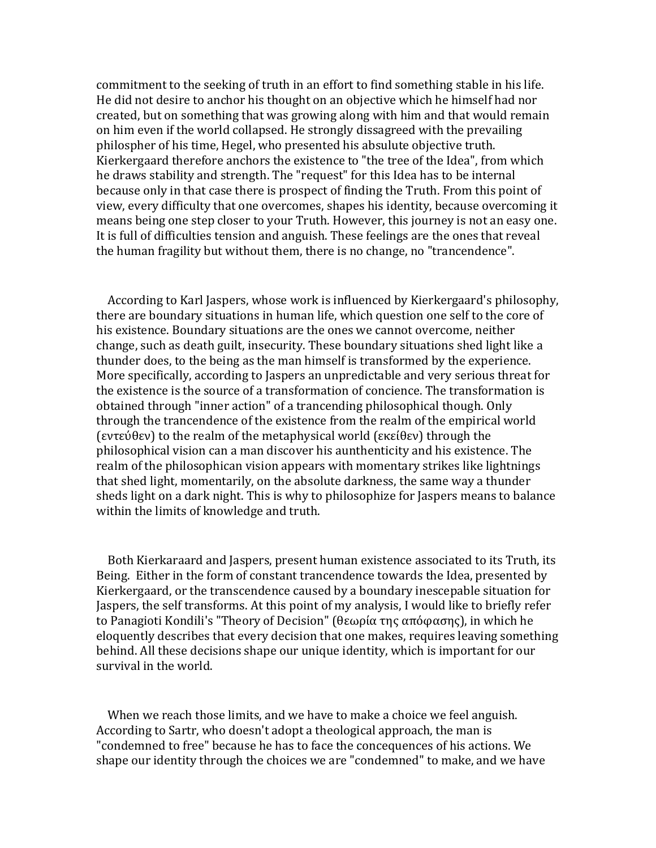commitment to the seeking of truth in an effort to find something stable in his life. He did not desire to anchor his thought on an objective which he himself had nor created, but on something that was growing along with him and that would remain on him even if the world collapsed. He strongly dissagreed with the prevailing philospher of his time, Hegel, who presented his absulute objective truth. Kierkergaard therefore anchors the existence to "the tree of the Idea", from which he draws stability and strength. The "request" for this Idea has to be internal because only in that case there is prospect of finding the Truth. From this point of view, every difficulty that one overcomes, shapes his identity, because overcoming it means being one step closer to your Truth. However, this journey is not an easy one. It is full of difficulties tension and anguish. These feelings are the ones that reveal the human fragility but without them, there is no change, no "trancendence".

According to Karl Jaspers, whose work is influenced by Kierkergaard's philosophy, there are boundary situations in human life, which question one self to the core of his existence. Boundary situations are the ones we cannot overcome, neither change, such as death guilt, insecurity. These boundary situations shed light like a thunder does, to the being as the man himself is transformed by the experience. More specifically, according to Jaspers an unpredictable and very serious threat for the existence is the source of a transformation of concience. The transformation is obtained through "inner action" of a trancending philosophical though. Only through the trancendence of the existence from the realm of the empirical world (εντεύθεν) to the realm of the metaphysical world (εκείθεν) through the philosophical vision can a man discover his aunthenticity and his existence. The realm of the philosophican vision appears with momentary strikes like lightnings that shed light, momentarily, on the absolute darkness, the same way a thunder sheds light on a dark night. This is why to philosophize for Jaspers means to balance within the limits of knowledge and truth.

Both Kierkaraard and Jaspers, present human existence associated to its Truth, its Being. Either in the form of constant trancendence towards the Idea, presented by Kierkergaard, or the transcendence caused by a boundary inescepable situation for Jaspers, the self transforms. At this point of my analysis, I would like to briefly refer to Panagioti Kondili's "Theory of Decision" (θεωρία της απόφασης), in which he eloquently describes that every decision that one makes, requires leaving something behind. All these decisions shape our unique identity, which is important for our survival in the world.

When we reach those limits, and we have to make a choice we feel anguish. According to Sartr, who doesn't adopt a theological approach, the man is "condemned to free" because he has to face the concequences of his actions. We shape our identity through the choices we are "condemned" to make, and we have